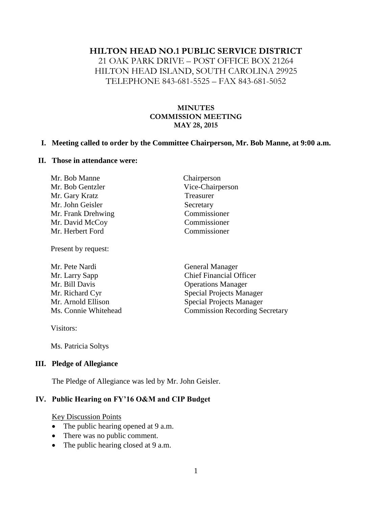#### **HILTON HEAD NO.1 PUBLIC SERVICE DISTRICT**

21 OAK PARK DRIVE – POST OFFICE BOX 21264 HILTON HEAD ISLAND, SOUTH CAROLINA 29925 TELEPHONE 843-681-5525 – FAX 843-681-5052

#### **MINUTES COMMISSION MEETING MAY 28, 2015**

#### **I. Meeting called to order by the Committee Chairperson, Mr. Bob Manne, at 9:00 a.m.**

#### **II. Those in attendance were:**

| Mr. Bob Manne      | Chairperson      |
|--------------------|------------------|
| Mr. Bob Gentzler   | Vice-Chairperson |
| Mr. Gary Kratz     | Treasurer        |
| Mr. John Geisler   | Secretary        |
| Mr. Frank Drehwing | Commissioner     |
| Mr. David McCoy    | Commissioner     |
| Mr. Herbert Ford   | Commissioner     |
|                    |                  |

Present by request:

| Mr. Pete Nardi       | <b>General Manager</b>                |
|----------------------|---------------------------------------|
| Mr. Larry Sapp       | <b>Chief Financial Officer</b>        |
| Mr. Bill Davis       | <b>Operations Manager</b>             |
| Mr. Richard Cyr      | <b>Special Projects Manager</b>       |
| Mr. Arnold Ellison   | <b>Special Projects Manager</b>       |
| Ms. Connie Whitehead | <b>Commission Recording Secretary</b> |

Visitors:

Ms. Patricia Soltys

#### **III. Pledge of Allegiance**

The Pledge of Allegiance was led by Mr. John Geisler.

# **IV. Public Hearing on FY'16 O&M and CIP Budget**

#### Key Discussion Points

- The public hearing opened at 9 a.m.
- There was no public comment.
- The public hearing closed at 9 a.m.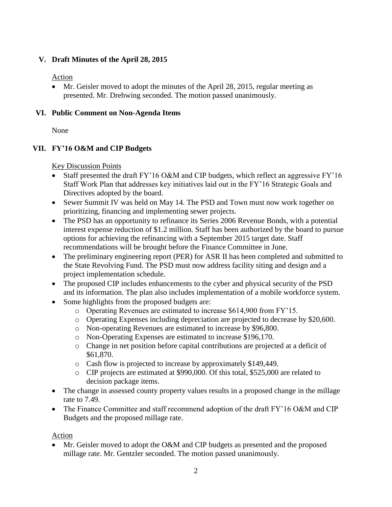#### **V. Draft Minutes of the April 28, 2015**

#### Action

 Mr. Geisler moved to adopt the minutes of the April 28, 2015, regular meeting as presented. Mr. Drehwing seconded. The motion passed unanimously.

#### **VI. Public Comment on Non-Agenda Items**

None

# **VII. FY'16 O&M and CIP Budgets**

#### Key Discussion Points

- Staff presented the draft FY'16 O&M and CIP budgets, which reflect an aggressive FY'16 Staff Work Plan that addresses key initiatives laid out in the FY'16 Strategic Goals and Directives adopted by the board.
- Sewer Summit IV was held on May 14. The PSD and Town must now work together on prioritizing, financing and implementing sewer projects.
- The PSD has an opportunity to refinance its Series 2006 Revenue Bonds, with a potential interest expense reduction of \$1.2 million. Staff has been authorized by the board to pursue options for achieving the refinancing with a September 2015 target date. Staff recommendations will be brought before the Finance Committee in June.
- The preliminary engineering report (PER) for ASR II has been completed and submitted to the State Revolving Fund. The PSD must now address facility siting and design and a project implementation schedule.
- The proposed CIP includes enhancements to the cyber and physical security of the PSD and its information. The plan also includes implementation of a mobile workforce system.
- Some highlights from the proposed budgets are:
	- o Operating Revenues are estimated to increase \$614,900 from FY'15.
	- o Operating Expenses including depreciation are projected to decrease by \$20,600.
	- o Non-operating Revenues are estimated to increase by \$96,800.
	- o Non-Operating Expenses are estimated to increase \$196,170.
	- o Change in net position before capital contributions are projected at a deficit of \$61,870.
	- o Cash flow is projected to increase by approximately \$149,449.
	- o CIP projects are estimated at \$990,000. Of this total, \$525,000 are related to decision package items.
- The change in assessed county property values results in a proposed change in the millage rate to 7.49.
- The Finance Committee and staff recommend adoption of the draft FY'16 O&M and CIP Budgets and the proposed millage rate.

#### Action

 Mr. Geisler moved to adopt the O&M and CIP budgets as presented and the proposed millage rate. Mr. Gentzler seconded. The motion passed unanimously.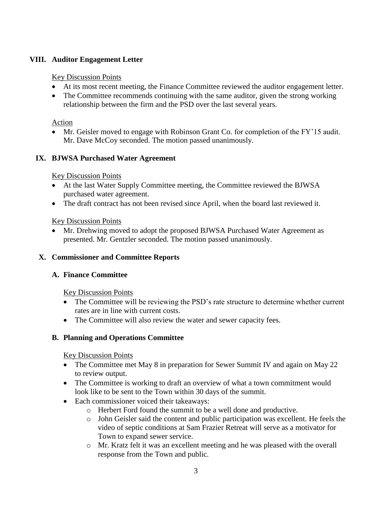# **VIII. Auditor Engagement Letter**

#### Key Discussion Points

- At its most recent meeting, the Finance Committee reviewed the auditor engagement letter.
- The Committee recommends continuing with the same auditor, given the strong working relationship between the firm and the PSD over the last several years.

# Action

 Mr. Geisler moved to engage with Robinson Grant Co. for completion of the FY'15 audit. Mr. Dave McCoy seconded. The motion passed unanimously.

# **IX. BJWSA Purchased Water Agreement**

# Key Discussion Points

- At the last Water Supply Committee meeting, the Committee reviewed the BJWSA purchased water agreement.
- The draft contract has not been revised since April, when the board last reviewed it.

# Key Discussion Points

 Mr. Drehwing moved to adopt the proposed BJWSA Purchased Water Agreement as presented. Mr. Gentzler seconded. The motion passed unanimously.

# **X. Commissioner and Committee Reports**

# **A. Finance Committee**

Key Discussion Points

- The Committee will be reviewing the PSD's rate structure to determine whether current rates are in line with current costs.
- The Committee will also review the water and sewer capacity fees.

# **B. Planning and Operations Committee**

# Key Discussion Points

- The Committee met May 8 in preparation for Sewer Summit IV and again on May 22 to review output.
- The Committee is working to draft an overview of what a town commitment would look like to be sent to the Town within 30 days of the summit.
- Each commissioner voiced their takeaways:
	- o Herbert Ford found the summit to be a well done and productive.
	- o John Geisler said the content and public participation was excellent. He feels the video of septic conditions at Sam Frazier Retreat will serve as a motivator for Town to expand sewer service.
	- o Mr. Kratz felt it was an excellent meeting and he was pleased with the overall response from the Town and public.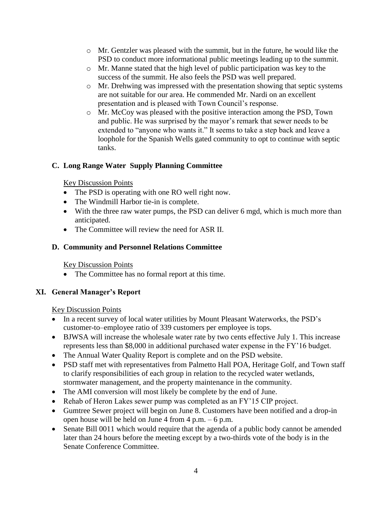- $\circ$  Mr. Gentzler was pleased with the summit, but in the future, he would like the PSD to conduct more informational public meetings leading up to the summit.
- o Mr. Manne stated that the high level of public participation was key to the success of the summit. He also feels the PSD was well prepared.
- o Mr. Drehwing was impressed with the presentation showing that septic systems are not suitable for our area. He commended Mr. Nardi on an excellent presentation and is pleased with Town Council's response.
- o Mr. McCoy was pleased with the positive interaction among the PSD, Town and public. He was surprised by the mayor's remark that sewer needs to be extended to "anyone who wants it." It seems to take a step back and leave a loophole for the Spanish Wells gated community to opt to continue with septic tanks.

# **C. Long Range Water Supply Planning Committee**

# Key Discussion Points

- The PSD is operating with one RO well right now.
- The Windmill Harbor tie-in is complete.
- With the three raw water pumps, the PSD can deliver 6 mgd, which is much more than anticipated.
- The Committee will review the need for ASR II.

# **D. Community and Personnel Relations Committee**

# Key Discussion Points

• The Committee has no formal report at this time.

# **XI. General Manager's Report**

# Key Discussion Points

- In a recent survey of local water utilities by Mount Pleasant Waterworks, the PSD's customer-to–employee ratio of 339 customers per employee is tops.
- BJWSA will increase the wholesale water rate by two cents effective July 1. This increase represents less than \$8,000 in additional purchased water expense in the FY'16 budget.
- The Annual Water Quality Report is complete and on the PSD website.
- PSD staff met with representatives from Palmetto Hall POA, Heritage Golf, and Town staff to clarify responsibilities of each group in relation to the recycled water wetlands, stormwater management, and the property maintenance in the community.
- The AMI conversion will most likely be complete by the end of June.
- Rehab of Heron Lakes sewer pump was completed as an FY'15 CIP project.
- Gumtree Sewer project will begin on June 8. Customers have been notified and a drop-in open house will be held on June 4 from  $4$  p.m.  $-6$  p.m.
- Senate Bill 0011 which would require that the agenda of a public body cannot be amended later than 24 hours before the meeting except by a two-thirds vote of the body is in the Senate Conference Committee.